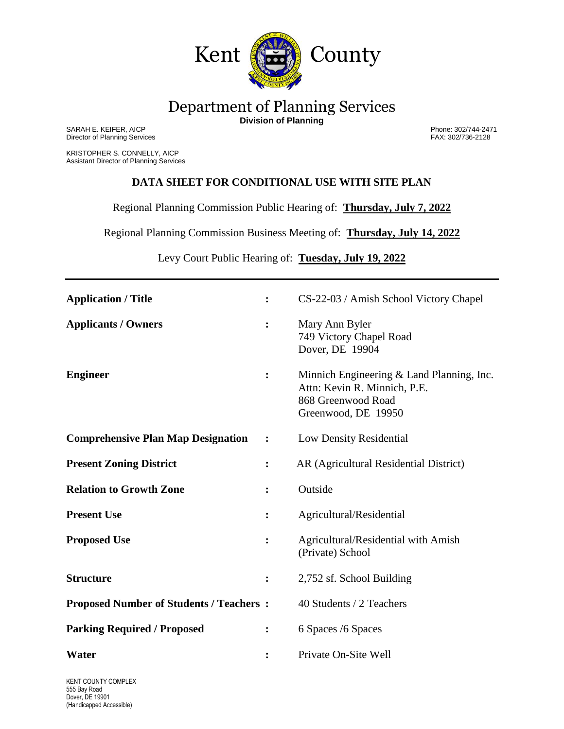

## Department of Planning Services **Division of Planning**

SARAH E. KEIFER, AICP Phone: 302/744-2471 Director of Planning Services FAX: 302/736-2128

KRISTOPHER S. CONNELLY, AICP Assistant Director of Planning Services

## **DATA SHEET FOR CONDITIONAL USE WITH SITE PLAN**

Regional Planning Commission Public Hearing of: **Thursday, July 7, 2022**

Regional Planning Commission Business Meeting of: **Thursday, July 14, 2022**

Levy Court Public Hearing of: **Tuesday, July 19, 2022**

| <b>Application / Title</b>                      | $\ddot{\cdot}$ | CS-22-03 / Amish School Victory Chapel                                                                                 |
|-------------------------------------------------|----------------|------------------------------------------------------------------------------------------------------------------------|
| <b>Applicants / Owners</b>                      | $\ddot{\cdot}$ | Mary Ann Byler<br>749 Victory Chapel Road<br>Dover, DE 19904                                                           |
| <b>Engineer</b>                                 | $\ddot{\cdot}$ | Minnich Engineering & Land Planning, Inc.<br>Attn: Kevin R. Minnich, P.E.<br>868 Greenwood Road<br>Greenwood, DE 19950 |
| <b>Comprehensive Plan Map Designation</b>       | $\ddot{\cdot}$ | Low Density Residential                                                                                                |
| <b>Present Zoning District</b>                  | :              | AR (Agricultural Residential District)                                                                                 |
| <b>Relation to Growth Zone</b>                  | :              | Outside                                                                                                                |
| <b>Present Use</b>                              | $\ddot{\cdot}$ | Agricultural/Residential                                                                                               |
| <b>Proposed Use</b>                             | $\ddot{\cdot}$ | Agricultural/Residential with Amish<br>(Private) School                                                                |
| <b>Structure</b>                                | :              | 2,752 sf. School Building                                                                                              |
| <b>Proposed Number of Students / Teachers :</b> |                | 40 Students / 2 Teachers                                                                                               |
| <b>Parking Required / Proposed</b>              | $\ddot{\cdot}$ | 6 Spaces /6 Spaces                                                                                                     |
| Water                                           | $\ddot{\cdot}$ | Private On-Site Well                                                                                                   |